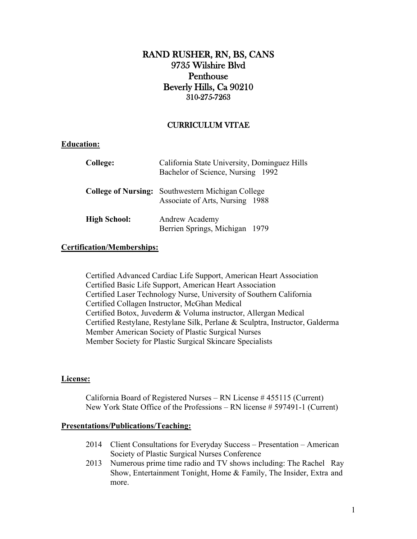# **RAND RUSHER, RN, BS, CANS 9735 Wilshire Blvd Penthouse Beverly Hills, Ca 90210 310-275-7263**

## **CURRICULUM VITAE**

## **Education:**

| College:            | California State University, Dominguez Hills<br>Bachelor of Science, Nursing 1992           |  |
|---------------------|---------------------------------------------------------------------------------------------|--|
|                     | <b>College of Nursing:</b> Southwestern Michigan College<br>Associate of Arts, Nursing 1988 |  |
| <b>High School:</b> | Andrew Academy<br>Berrien Springs, Michigan 1979                                            |  |

## **Certification/Memberships:**

Certified Advanced Cardiac Life Support, American Heart Association Certified Basic Life Support, American Heart Association Certified Laser Technology Nurse, University of Southern California Certified Collagen Instructor, McGhan Medical Certified Botox, Juvederm & Voluma instructor, Allergan Medical Certified Restylane, Restylane Silk, Perlane & Sculptra, Instructor, Galderma Member American Society of Plastic Surgical Nurses Member Society for Plastic Surgical Skincare Specialists

## **License:**

California Board of Registered Nurses – RN License # 455115 (Current) New York State Office of the Professions – RN license # 597491-1 (Current)

## **Presentations/Publications/Teaching:**

- 2014 Client Consultations for Everyday Success Presentation American Society of Plastic Surgical Nurses Conference
- 2013 Numerous prime time radio and TV shows including: The Rachel Ray Show, Entertainment Tonight, Home & Family, The Insider, Extra and more.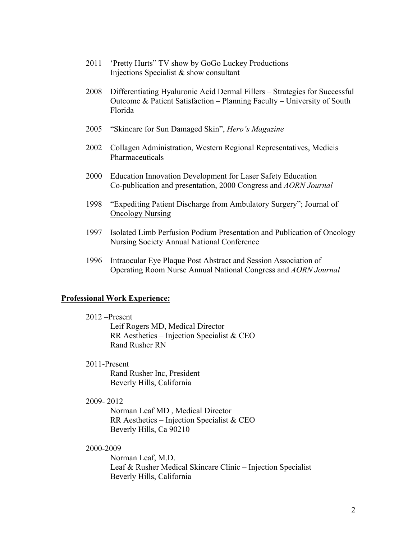- 2011 'Pretty Hurts" TV show by GoGo Luckey Productions Injections Specialist & show consultant
- 2008 Differentiating Hyaluronic Acid Dermal Fillers Strategies for Successful Outcome & Patient Satisfaction – Planning Faculty – University of South Florida
- 2005 "Skincare for Sun Damaged Skin", *Hero's Magazine*
- 2002 Collagen Administration, Western Regional Representatives, Medicis Pharmaceuticals
- 2000 Education Innovation Development for Laser Safety Education Co-publication and presentation, 2000 Congress and *AORN Journal*
- 1998 "Expediting Patient Discharge from Ambulatory Surgery"; Journal of Oncology Nursing
- 1997 Isolated Limb Perfusion Podium Presentation and Publication of Oncology Nursing Society Annual National Conference
- 1996 Intraocular Eye Plaque Post Abstract and Session Association of Operating Room Nurse Annual National Congress and *AORN Journal*

#### **Professional Work Experience:**

2012 –Present

Leif Rogers MD, Medical Director RR Aesthetics – Injection Specialist & CEO Rand Rusher RN

2011-Present

Rand Rusher Inc, President Beverly Hills, California

2009- 2012

Norman Leaf MD , Medical Director RR Aesthetics – Injection Specialist & CEO Beverly Hills, Ca 90210

2000-2009

Norman Leaf, M.D. Leaf & Rusher Medical Skincare Clinic – Injection Specialist Beverly Hills, California